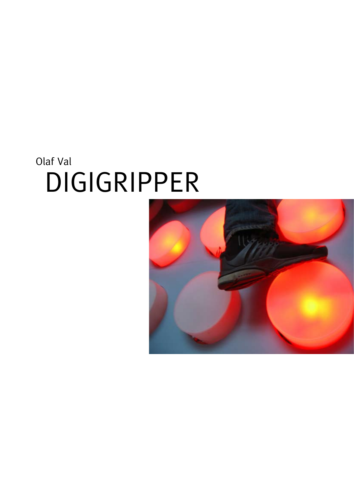## Olaf Val DIGIGRIPPER

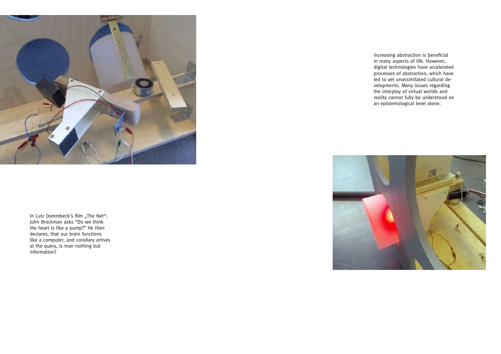In Lutz Dammbeck's film "The Net": John Brockman asks "Do we think the heart is like a pump?" He then declares, that our brain functions like a computer, and corollary arrives at the query, is man nothing but information?



Increasing abstraction is beneficial in many aspects of life. However, digital technologies have accelerated processes of abstraction, which have led to yet unassimilated cultural developments. Many issues regarding the interplay of virtual worlds and reality cannot fully be understood on an epistemological level alone.

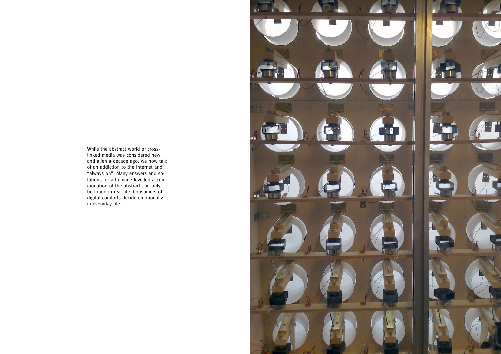While the abstract world of crosslinked media was considered new and alien a decade ago, we now talk of an addiction to the Internet and "always on". Many answers and solutions for a humane levelled accommodation of the abstract can only be found in real life. Consumers of digital comforts decide emotionally in everyday life.

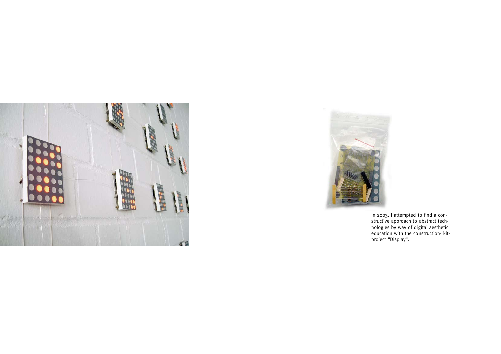



In 2003, I attempted to find a constructive approach to abstract technologies by way of digital aesthetic education with the construction- kitproject "Display".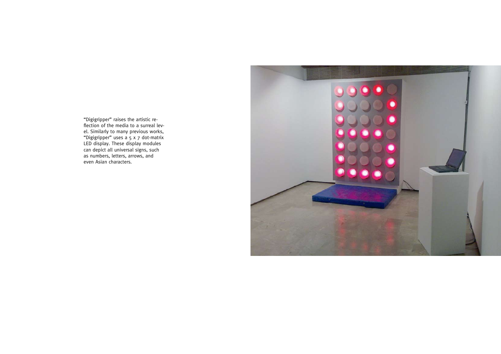"Digigripper" raises the artistic reflection of the media to a surreal level. Similarly to many previous works, "Digigripper" uses a 5 x 7 dot-matrix LED display. These display modules can depict all universal signs, such as numbers, letters, arrows, and even Asian characters.

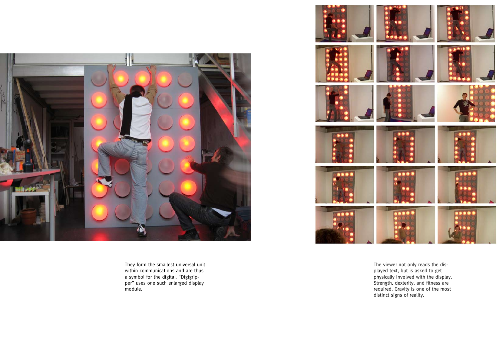

They form the smallest universal unit within communications and are thus a symbol for the digital. "Digigrip per" uses one such enlarged display module.



The viewer not only reads the dis played text, but is asked to get physically involved with the display. Strength, dexterity, and fitness are required. Gravity is one of the most distinct signs of reality.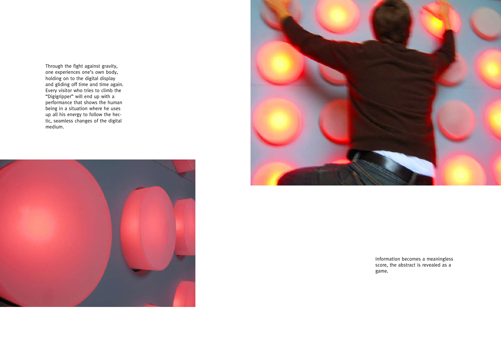Through the fight against gravity, one experiences one's own body, holding on to the digital display and gliding off time and time again. Every visitor who tries to climb the "Digigripper" will end up with a performance that shows the human being in a situation where he uses up all his energy to follow the hectic, seamless changes of the digital medium.





Information becomes a meaningless score, the abstract is revealed as a game.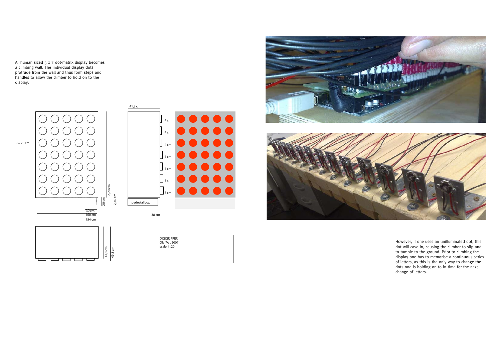A human sized 5 x 7 dot-matrix display becomes a climbing wall. The individual display dots protrude from the wall and thus form steps and handles to allow the climber to hold on to the display.

> However, if one uses an unilluminated dot, this dot will cave in, causing the climber to slip and to tumble to the ground. Prior to climbing the display one has to memorise a continuous series of letters, as this is the only way to change the dots one is holding on to in time for the next change of letters.





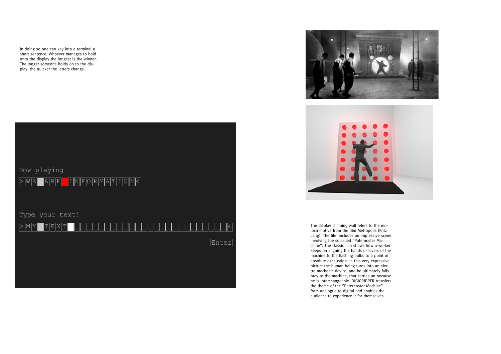In doing so one can key into a terminal a short sentence. Whoever manages to hold onto the display the longest is the winner. The longer someone holds on to the display, the quicker the letters change.







The display climbing wall refers to the moloch motive from the film Metropolis (Fritz Lang). The film includes an impressive scene involving the so-called "Paternoster Machine". The classic film shows how a worker keeps on aligning the hands or levers of the machine to the flashing bulbs to a point of absolute exhaustion. In this very expressive picture the human being turns into an electro-mechanic device, and he ultimately falls prey to the machine, that carries on because he is interchangeable. DIGIGRIPPER transfers the theme of the "Paternoster Machine" from analogue to digital and enables the audience to experience it for themselves.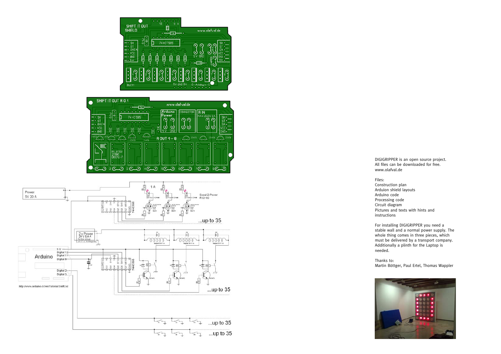





www.olafval.de Files: Construction plan Arduion shield layouts Arduino code Processing code Circuit diagram Pictures and texts with hints and instructions For installing DIGIGRIPPER you need a stable wall and a normal power supply. The whole thing comes in three pieces, which must be delivered by a transport company. Additionally a plinth for the Laptop is needed.



DIGIGRIPPER is an open source project. All files can be downloaded for free.

- 
- 
- 
- 
- 
- 
- 

Thanks to: Martin Böttger, Paul Ertel, Thomas Wappler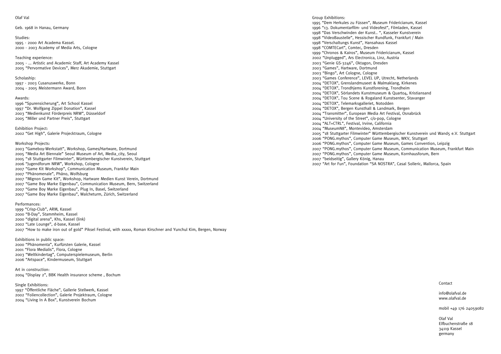## Olaf Val

Geb. 1968 in Hanau, Germany

Studies: 1995 - 2000 Art Academa Kassel. 2000 - 2003 Academy of Media Arts, Cologne

Teaching experience: 2005 - ... Artistic and Academic Staff, Art Academy Kassel 2005 "Pervormative Devices", Merz Akademie, Stuttgart

Scholaship: 1997 - 2003 Cusanuswerke, Bonn

2004 - 2005 Meistermann Award, Bonn

## Awards:

1996 "Spurensicherung", Art School Kassel 1997 "Dr. Wolfgang Zippel Donation", Kassel 2003 "Medienkunst Förderpreis NRW", Düsseldorf 2005 "Miller und Partner Preis", Stuttgart

Exhibition Project: 2002 "Get High", Galerie Projecktraum, Cologne

## Workshop Projects:

2003 "Gameboy-Werkstatt", Workshop, Games/Hartware, Dortmund

2005 "Media Art Biennale" Seoul Museum of Art, Media\_city, Seoul

- 2005 "18 Stuttgarter Filmwinter", Württembergischer Kunstverein, Stuttgart
- 2006 "Jugendforum NRW", Workshop, Cologne
- 2007 "Game Kit Workshop", Communication Museum, Frankfur Main
- 2007 "Phänomenale", Phäno, Wolfsburg
- 2007 "Mignon Game Kit", Workshop, Hartware Medien Kunst Verein, Dortmund
- 2007 "Game Boy Marke Eigenbau", Communication Museum, Bern, Switzerland
- 2007 "Game Boy Marke Eigenbau", Plug In, Basel, Switzerland
- 2007 "Game Boy Marke Eigenbau", Walcheturm, Zürich, Switzerland

Performances:

1999 "Crisp-Club", ARM, Kassel 2000 "B-Day", Stammheim, Kassel 2000 "digital arena", Khs, Kassel (link) 2002 "Late Lounge", d-base, Kassel 2007 "How to make iron out of gold" Piksel Festival, with xxxxx, Roman Kirschner and Yunchul Kim, Bergen, Norway

Exhibitions in public space: 2000 "Phänomenta", Kurfürsten Galerie, Kassel 2001 "Flora Medialis", Flora, Cologne 2003 "Weltkindertag", Computerspielemuseum, Berlin 2006 "Artspace", Kindermuseum, Stuttgart

Art in construction: 2004 "Display 2", BBK Health insurance scheme , Bochum

Single Exhibitions: 1997 "Öffentliche Fläche", Gallerie Stellwerk, Kassel 2002 "Foliencollection", Galerie Projektraum, Cologne 2004 "Living In A Box", Kunstverein Bochum

Group Exhibitions:

1995 "Dem Herkules zu Füssen", Museum Fridericianum, Kassel 1996 "13. Dokumentarfilm- und Videofest", Filmladen, Kassel 1998 "Das Verschwinden der Kunst.. ", Kasseler Kunstverein 1998 "VideoBaustelle", Hessischer Rundfunk, Frankfurt / Main 1998 "Verschaltungs Kunst", Hansahaus Kassel 1998 "COMTECart", Comtec, Dresden 1999 "Chronos & Kairos", Museum Fridericianum, Kassel 2002 "Unplugged", Ars Electronica, Linz, Austria 2003 "Genie GS-3246", Oktagon, Dresden 2003 "Games", Hartware, Dortmund 2003 "Bingo", Art Cologne, Cologne 2003 "Games Conference", LEVEL UP, Utrecht, Netherlands 2004 "DETOX", Grenslandmuseet & Malmaklang, Kirkenes 2004 "DETOX", Trondhjems Kunstforening, Trondheim 2004 "DETOX", Sörlandets Kunstmuseum & Quart04, Kristiansand 2004 "DETOX", Tou Scene & Rogaland Kunstsenter, Stavanger 2004 "DETOX", Telemarksgalleriet, Notodden 2004 "DETOX", Bergen Kunsthall & Landmark, Bergen 2004 "Transmitter", European Media Art Festival, Osnabrück 2004 "University of the Street", c/o-pop, Cologne 2004 "ALT+CTRL", Festival, Irvine, California 2004 "MuseumN8", Montevideo, Amsterdam 2005 "18 Stuttgarter Filmwinter" Württembergischer Kunstverein und Wand5 e.V. Stuttgart 2006 "PONG.mythos", Computer Game Museum, WKV, Stuttgart 2006 "PONG.mythos", Computer Game Museum, Games Convention, Leipzig 2007 "PONG.mythos", Computer Game Museum, Communication Museum, Frankfurt Main 2007 "PONG.mythos", Computer Game Museum, Kornhausforum, Bern 2007 "beidseitig", Gallery König, Hanau 2007 "Art for Fun", Foundation "SA NOSTRA", Casal Solleric, Mallorca, Spain

Contact

info@olafval.de www.olafval.de

mobil +49 176 24059082

Olaf Val Elfbuchenstraße 18 34119 Kassel germany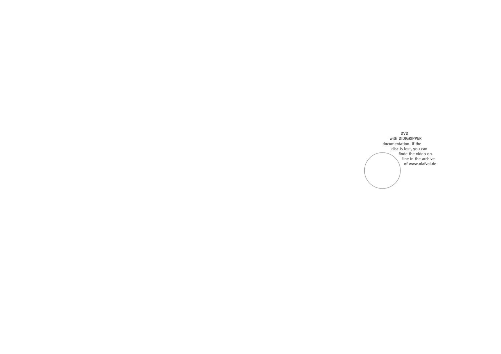DVD with DIDIGRIPPER documentation. If the disc is lost, you can finde the video online in the archive of www.olafval.de